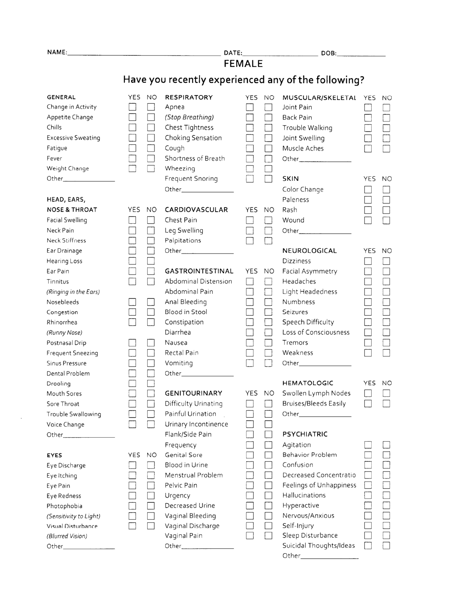|                                                                                                                                                                                                           | DATE:<br>the control of the control of the control of                                                                |                                                                                                                                                                                                      |                                                                                                                                |                                                                                                                                                                                                                    |                             |          |
|-----------------------------------------------------------------------------------------------------------------------------------------------------------------------------------------------------------|----------------------------------------------------------------------------------------------------------------------|------------------------------------------------------------------------------------------------------------------------------------------------------------------------------------------------------|--------------------------------------------------------------------------------------------------------------------------------|--------------------------------------------------------------------------------------------------------------------------------------------------------------------------------------------------------------------|-----------------------------|----------|
|                                                                                                                                                                                                           | <b>FEMALE</b>                                                                                                        |                                                                                                                                                                                                      |                                                                                                                                |                                                                                                                                                                                                                    |                             |          |
|                                                                                                                                                                                                           | Have you recently experienced any of the following?                                                                  |                                                                                                                                                                                                      |                                                                                                                                |                                                                                                                                                                                                                    |                             |          |
| <b>GENERAL</b><br>Change in Activity<br>Appetite Change<br>Chills<br><b>Excessive Sweating</b><br>Fatigue<br>Fever<br>Weight Change<br>HEAD, EARS,<br><b>NOSE &amp; THROAT</b>                            | YES NO<br>$\Box$<br>$\Box$<br>$\Box$<br>$\Box$<br>$\Box$<br>$\Box$<br>$\Box$<br>$\Box$<br>$\Box$<br>$\Box$<br>YES NO | <b>RESPIRATORY</b><br>Apnea<br>(Stop Breathing)<br>Chest Tightness<br>Choking Sensation<br>Cough<br>Shortness of Breath<br>Wheezing<br>Frequent Snoring<br>CARDIOVASCULAR                            | YES NO<br>$\vert \ \ \vert$<br>$\overline{\phantom{0}}$<br>$\mathcal{L}_{\mathcal{A}}$<br>$\Box$<br>$\Box$<br>$\Box$<br>YES NO | MUSCULAR/SKELETAL YES<br>Joint Pain<br>Back Pain<br>Trouble Walking<br>Joint Swelling<br>Muscle Aches<br><b>SKIN</b><br>Color Change<br>Paleness<br>Rash                                                           | <b>YES</b>                  | NO<br>NO |
| <b>Facial Swelling</b><br>Neck Pain<br>Neck Stiffness<br>Ear Drainage                                                                                                                                     | $\Box$                                                                                                               | Chest Pain<br>Leg Swelling<br>Palpitations                                                                                                                                                           |                                                                                                                                | Wound<br>NEUROLOGICAL                                                                                                                                                                                              | YES                         | NO       |
| Hearing Loss<br>Ear Pain<br>Tinnitus<br>(Ringing in the Ears)<br>Nosebleeds<br>Congestion<br>Rhinorrhea<br>(Runny Nose)<br>Postnasal Drip<br><b>Frequent Sneezing</b><br>Sinus Pressure<br>Dental Problem | □                                                                                                                    | GASTROINTESTINAL<br>Abdominal Distension<br>Abdominal Pain<br>Anal Bleeding<br>Blood in Stool<br>Constipation<br>Diarrhea<br>Nausea<br>Rectal Pain<br>Vomiting                                       | YES NO<br>$\Box$<br>U<br>$\overline{\phantom{a}}$<br>$\Box$                                                                    | Dizziness<br>Facial Asymmetry<br>Headaches<br>Light Headedness<br>Numbness<br>Seizures<br>Speech Difficulty<br>Loss of Consciousness<br>Tremors<br>Weakness                                                        | $\vert \ \ \vert$<br>$\Box$ |          |
| Drooling<br>Mouth Sores<br>Sore Throat<br>Trouble Swallowing<br>Voice Change                                                                                                                              |                                                                                                                      | <b>GENITOURINARY</b><br>Difficulty Urinating<br>Painful Urination<br>Urinary Incontinence<br>Flank/Side Pain                                                                                         | <b>YES</b><br><b>NO</b><br>- 1<br>$\overline{\phantom{0}}$                                                                     | <b>HEMATOLOGIC</b><br>Swollen Lymph Nodes<br><b>Bruises/Bleeds Easily</b><br><b>PSYCHIATRIC</b>                                                                                                                    | YES NO                      |          |
| EYES<br>Eye Discharge<br>Eye Itching<br>Eye Pain<br>Eye Redness<br>Photophobia<br>(Sensitivity to Light)<br>Visual Disturbance<br>(Blurred Vision)                                                        | <b>YES</b><br>NO                                                                                                     | Frequency<br><b>Genital Sore</b><br>Blood in Urine<br>Menstrual Problem<br>Pelvic Pain<br>Urgency<br>Decreased Urine<br>Vaginal Bleeding<br>Vaginal Discharge<br>Vaginal Pain<br>Other______________ | $\overline{\phantom{a}}$<br>W<br>$\Box$<br>$\Box$<br>∐<br>$\Box$<br>$\Box$<br>$\Box$                                           | Agitation<br>Behavior Problem<br>Confusion<br>Decreased Concentratio<br>Feelings of Unhappiness<br>Hallucinations<br>Hyperactive<br>Nervous/Anxious<br>Self-Injury<br>Sleep Disturbance<br>Suicidal Thoughts/Ideas |                             |          |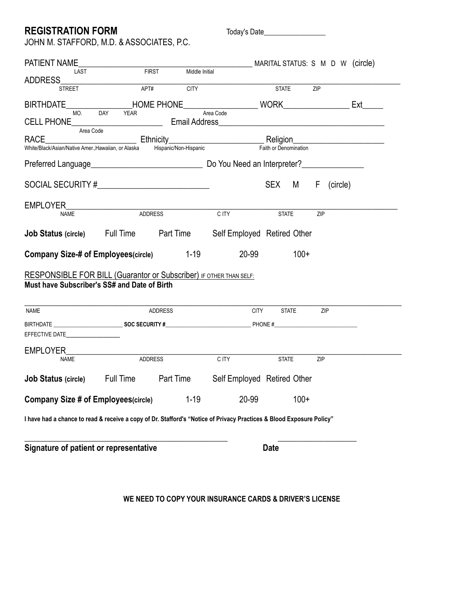**REGISTRATION FORM** Today's Date\_\_\_\_\_\_\_\_\_\_\_\_\_\_\_\_\_ JOHN M. STAFFORD, M.D. & ASSOCIATES, P.C.

| PATIENT NAME                                                                                                              |  |                                |       |                  |     |  |
|---------------------------------------------------------------------------------------------------------------------------|--|--------------------------------|-------|------------------|-----|--|
| LAST                                                                                                                      |  | <b>FIRST</b><br>Middle Initial |       |                  |     |  |
| <b>STREET</b>                                                                                                             |  | APT#<br><b>CITY</b>            |       | <b>STATE</b>     | ZIP |  |
|                                                                                                                           |  |                                |       |                  |     |  |
|                                                                                                                           |  |                                |       |                  |     |  |
|                                                                                                                           |  |                                |       |                  |     |  |
| Area Code<br>RACE                                                                                                         |  |                                |       |                  |     |  |
|                                                                                                                           |  |                                |       |                  |     |  |
|                                                                                                                           |  |                                |       |                  |     |  |
| SOCIAL SECURITY #______________________________                                                                           |  |                                |       | SEX M F (circle) |     |  |
|                                                                                                                           |  |                                |       | <b>STATE</b>     | ZIP |  |
|                                                                                                                           |  |                                |       |                  |     |  |
| <b>Job Status (circle)</b> Full Time Part Time Self Employed Retired Other                                                |  |                                |       |                  |     |  |
| <b>Company Size-# of Employees(circle)</b> 1-19<br>$100+$<br>20-99                                                        |  |                                |       |                  |     |  |
| <b>RESPONSIBLE FOR BILL (Guarantor or Subscriber) IF OTHER THAN SELF:</b><br>Must have Subscriber's SS# and Date of Birth |  |                                |       |                  |     |  |
| <b>NAME</b>                                                                                                               |  | <b>ADDRESS</b>                 |       | CITY STATE ZIP   |     |  |
|                                                                                                                           |  |                                |       |                  |     |  |
| EFFECTIVE DATE                                                                                                            |  |                                |       |                  |     |  |
|                                                                                                                           |  |                                |       |                  |     |  |
| <b>NAME</b>                                                                                                               |  | ADDRESS                        | C ITY | <b>STATE</b>     | ZIP |  |
| <b>Job Status (circle)</b> Full Time Part Time Self Employed Retired Other                                                |  |                                |       |                  |     |  |
| <b>Company Size # of Employees(circle)</b>                                                                                |  | $1 - 19$                       | 20-99 | $100+$           |     |  |
| I have had a chance to read & receive a copy of Dr. Stafford's "Notice of Privacy Practices & Blood Exposure Policy"      |  |                                |       |                  |     |  |
| Signature of patient or representative                                                                                    |  |                                |       | Date             |     |  |

#### **WE NEED TO COPY YOUR INSURANCE CARDS & DRIVER'S LICENSE**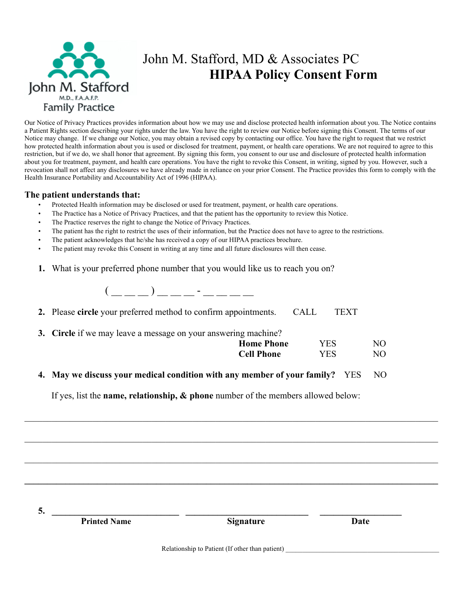

# John M. Stafford, MD & Associates PC **HIPAA Policy Consent Form**

Our Notice of Privacy Practices provides information about how we may use and disclose protected health information about you. The Notice contains a Patient Rights section describing your rights under the law. You have the right to review our Notice before signing this Consent. The terms of our Notice may change. If we change our Notice, you may obtain a revised copy by contacting our office. You have the right to request that we restrict how protected health information about you is used or disclosed for treatment, payment, or health care operations. We are not required to agree to this restriction, but if we do, we shall honor that agreement. By signing this form, you consent to our use and disclosure of protected health information about you for treatment, payment, and health care operations. You have the right to revoke this Consent, in writing, signed by you. However, such a revocation shall not affect any disclosures we have already made in reliance on your prior Consent. The Practice provides this form to comply with the Health Insurance Portability and Accountability Act of 1996 (HIPAA).

#### **The patient understands that:**

- Protected Health information may be disclosed or used for treatment, payment, or health care operations.
- The Practice has a Notice of Privacy Practices, and that the patient has the opportunity to review this Notice.
- The Practice reserves the right to change the Notice of Privacy Practices.
- The patient has the right to restrict the uses of their information, but the Practice does not have to agree to the restrictions.
- The patient acknowledges that he/she has received a copy of our HIPAA practices brochure.
- The patient may revoke this Consent in writing at any time and all future disclosures will then cease.
- **1.** What is your preferred phone number that you would like us to reach you on?

( \_\_ \_\_ \_\_ ) \_\_ \_\_ \_\_ - \_\_ \_\_ \_\_ \_\_

| 2. Please circle your preferred method to confirm appointments. | CALL | TEXT. |     |
|-----------------------------------------------------------------|------|-------|-----|
| 3. Circle if we may leave a message on your answering machine?  |      |       |     |
| <b>Home Phone</b>                                               |      | YES   | NO. |
| <b>Cell Phone</b>                                               |      | YES   | NO. |

**4. May we discuss your medical condition with any member of your family?** YES NO

If yes, list the **name, relationship, & phone** number of the members allowed below:

**5. \_\_\_\_\_\_\_\_\_\_\_\_\_\_\_\_\_\_\_\_\_\_\_\_\_\_\_\_ \_\_\_\_\_\_\_\_\_\_\_\_\_\_\_\_\_\_\_\_\_\_\_\_\_\_\_ \_\_\_\_\_\_\_\_\_\_\_\_\_\_\_\_\_\_** 

**Printed Name Signature Signature Date** 

 $\_$  , and the contribution of the contribution of the contribution of the contribution of the contribution of  $\mathcal{L}_\text{max}$ 

**\_\_\_\_\_\_\_\_\_\_\_\_\_\_\_\_\_\_\_\_\_\_\_\_\_\_\_\_\_\_\_\_\_\_\_\_\_\_\_\_\_\_\_\_\_\_\_\_\_\_\_\_\_\_\_\_\_\_\_\_\_\_\_\_\_\_\_\_\_\_\_\_\_\_\_\_\_\_\_\_\_\_\_\_\_\_\_\_\_\_\_**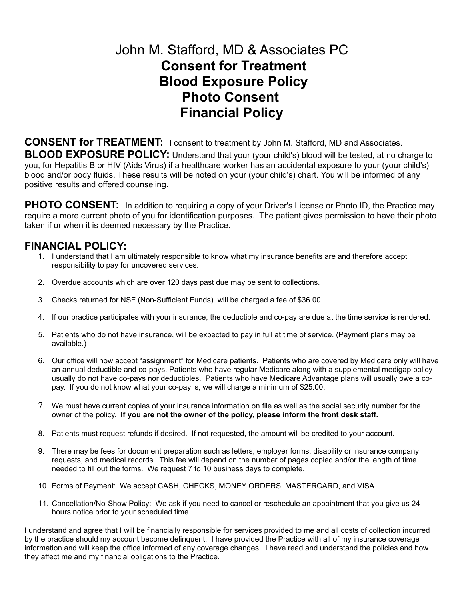# John M. Stafford, MD & Associates PC  **Consent for Treatment Blood Exposure Policy Photo Consent Financial Policy**

**CONSENT for TREATMENT:** I consent to treatment by John M. Stafford, MD and Associates. **BLOOD EXPOSURE POLICY:** Understand that your (your child's) blood will be tested, at no charge to you, for Hepatitis B or HIV (Aids Virus) if a healthcare worker has an accidental exposure to your (your child's) blood and/or body fluids. These results will be noted on your (your child's) chart. You will be informed of any positive results and offered counseling.

**PHOTO CONSENT:** In addition to requiring a copy of your Driver's License or Photo ID, the Practice may require a more current photo of you for identification purposes. The patient gives permission to have their photo taken if or when it is deemed necessary by the Practice.

## **FINANCIAL POLICY:**

- 1. I understand that I am ultimately responsible to know what my insurance benefits are and therefore accept responsibility to pay for uncovered services.
- 2. Overdue accounts which are over 120 days past due may be sent to collections.
- 3. Checks returned for NSF (Non-Sufficient Funds) will be charged a fee of \$36.00.
- 4. If our practice participates with your insurance, the deductible and co-pay are due at the time service is rendered.
- 5. Patients who do not have insurance, will be expected to pay in full at time of service. (Payment plans may be available.)
- 6. Our office will now accept "assignment" for Medicare patients. Patients who are covered by Medicare only will have an annual deductible and co-pays. Patients who have regular Medicare along with a supplemental medigap policy usually do not have co-pays nor deductibles. Patients who have Medicare Advantage plans will usually owe a copay. If you do not know what your co-pay is, we will charge a minimum of \$25.00.
- 7. We must have current copies of your insurance information on file as well as the social security number for the owner of the policy. **If you are not the owner of the policy, please inform the front desk staff.**
- 8. Patients must request refunds if desired. If not requested, the amount will be credited to your account.
- 9. There may be fees for document preparation such as letters, employer forms, disability or insurance company requests, and medical records. This fee will depend on the number of pages copied and/or the length of time needed to fill out the forms. We request 7 to 10 business days to complete.
- 10. Forms of Payment: We accept CASH, CHECKS, MONEY ORDERS, MASTERCARD, and VISA.
- 11. Cancellation/No-Show Policy: We ask if you need to cancel or reschedule an appointment that you give us 24 hours notice prior to your scheduled time.

I understand and agree that I will be financially responsible for services provided to me and all costs of collection incurred by the practice should my account become delinquent. I have provided the Practice with all of my insurance coverage information and will keep the office informed of any coverage changes. I have read and understand the policies and how they affect me and my financial obligations to the Practice.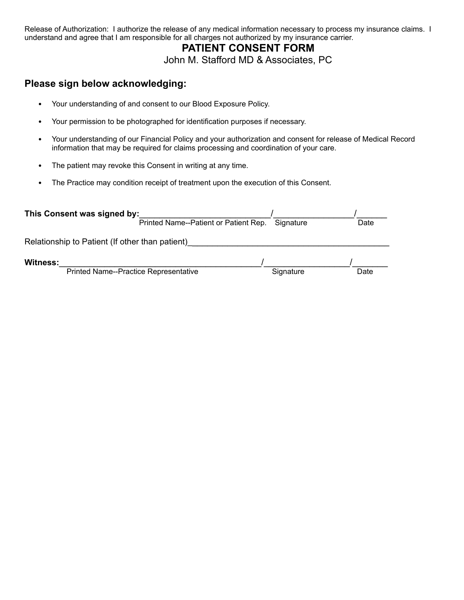Release of Authorization: I authorize the release of any medical information necessary to process my insurance claims. I understand and agree that I am responsible for all charges not authorized by my insurance carrier.

## **PATIENT CONSENT FORM**

John M. Stafford MD & Associates, PC

### **Please sign below acknowledging:**

- Your understanding of and consent to our Blood Exposure Policy.
- Your permission to be photographed for identification purposes if necessary.
- Your understanding of our Financial Policy and your authorization and consent for release of Medical Record information that may be required for claims processing and coordination of your care.
- The patient may revoke this Consent in writing at any time.
- The Practice may condition receipt of treatment upon the execution of this Consent.

| This Consent was signed by:                     |                                                 |           |      |  |  |  |
|-------------------------------------------------|-------------------------------------------------|-----------|------|--|--|--|
|                                                 | Printed Name--Patient or Patient Rep. Signature |           | Date |  |  |  |
| Relationship to Patient (If other than patient) |                                                 |           |      |  |  |  |
| Witness:                                        |                                                 |           |      |  |  |  |
|                                                 | Printed Name--Practice Representative           | Signature | Date |  |  |  |